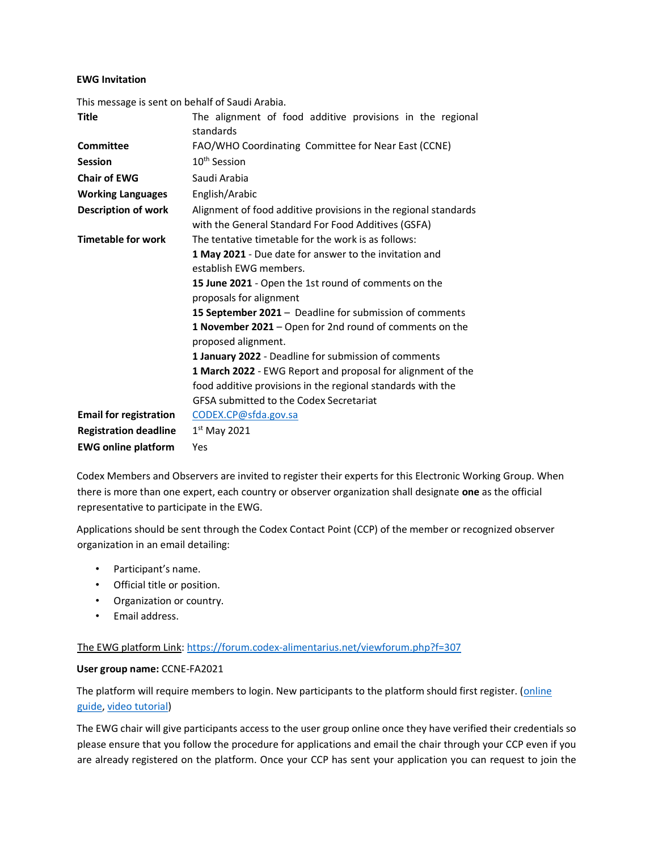### EWG Invitation

| This message is sent on behalf of Saudi Arabia. |                                                                                                                                                                                                                                                                                                                                                                                                                                                                                                                                                                                                          |  |
|-------------------------------------------------|----------------------------------------------------------------------------------------------------------------------------------------------------------------------------------------------------------------------------------------------------------------------------------------------------------------------------------------------------------------------------------------------------------------------------------------------------------------------------------------------------------------------------------------------------------------------------------------------------------|--|
| <b>Title</b>                                    | The alignment of food additive provisions in the regional<br>standards                                                                                                                                                                                                                                                                                                                                                                                                                                                                                                                                   |  |
| Committee                                       | FAO/WHO Coordinating Committee for Near East (CCNE)                                                                                                                                                                                                                                                                                                                                                                                                                                                                                                                                                      |  |
| <b>Session</b>                                  | 10 <sup>th</sup> Session                                                                                                                                                                                                                                                                                                                                                                                                                                                                                                                                                                                 |  |
| <b>Chair of EWG</b>                             | Saudi Arabia                                                                                                                                                                                                                                                                                                                                                                                                                                                                                                                                                                                             |  |
| <b>Working Languages</b>                        | English/Arabic                                                                                                                                                                                                                                                                                                                                                                                                                                                                                                                                                                                           |  |
| <b>Description of work</b>                      | Alignment of food additive provisions in the regional standards<br>with the General Standard For Food Additives (GSFA)                                                                                                                                                                                                                                                                                                                                                                                                                                                                                   |  |
| <b>Timetable for work</b>                       | The tentative timetable for the work is as follows:<br>1 May 2021 - Due date for answer to the invitation and<br>establish EWG members.<br>15 June 2021 - Open the 1st round of comments on the<br>proposals for alignment<br>15 September 2021 - Deadline for submission of comments<br>1 November 2021 - Open for 2nd round of comments on the<br>proposed alignment.<br>1 January 2022 - Deadline for submission of comments<br>1 March 2022 - EWG Report and proposal for alignment of the<br>food additive provisions in the regional standards with the<br>GFSA submitted to the Codex Secretariat |  |
| <b>Email for registration</b>                   | CODEX.CP@sfda.gov.sa                                                                                                                                                                                                                                                                                                                                                                                                                                                                                                                                                                                     |  |
| <b>Registration deadline</b>                    | $1st$ May 2021                                                                                                                                                                                                                                                                                                                                                                                                                                                                                                                                                                                           |  |
| <b>EWG online platform</b>                      | Yes                                                                                                                                                                                                                                                                                                                                                                                                                                                                                                                                                                                                      |  |

Codex Members and Observers are invited to register their experts for this Electronic Working Group. When there is more than one expert, each country or observer organization shall designate one as the official representative to participate in the EWG.

Applications should be sent through the Codex Contact Point (CCP) of the member or recognized observer organization in an email detailing:

- Participant's name.
- Official title or position.
- Organization or country.
- Email address.

The EWG platform Link: https://forum.codex-alimentarius.net/viewforum.php?f=307

### User group name: CCNE-FA2021

The platform will require members to login. New participants to the platform should first register. (online guide, video tutorial)

The EWG chair will give participants access to the user group online once they have verified their credentials so please ensure that you follow the procedure for applications and email the chair through your CCP even if you are already registered on the platform. Once your CCP has sent your application you can request to join the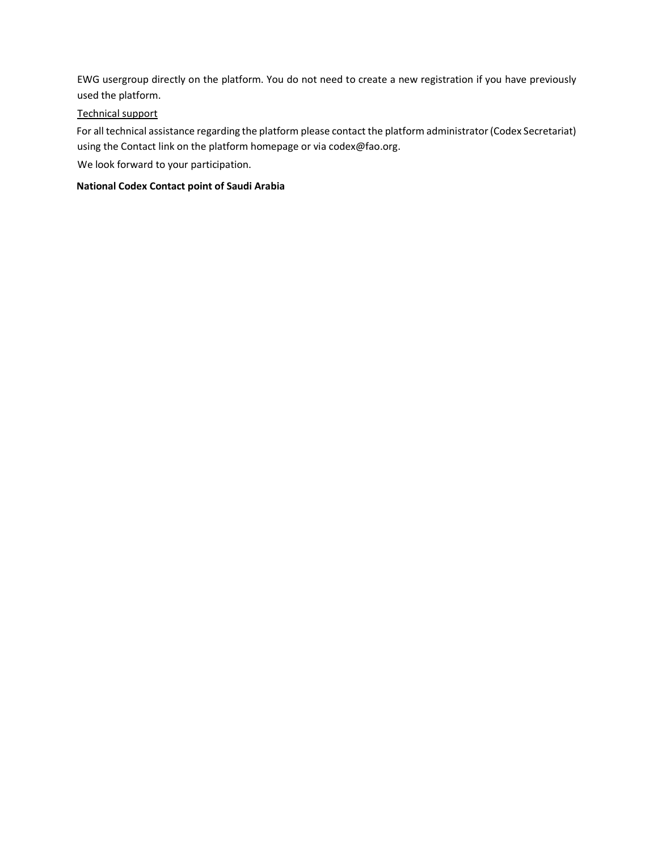EWG usergroup directly on the platform. You do not need to create a new registration if you have previously used the platform.

## Technical support

For all technical assistance regarding the platform please contact the platform administrator (Codex Secretariat) using the Contact link on the platform homepage or via codex@fao.org.

We look forward to your participation.

## National Codex Contact point of Saudi Arabia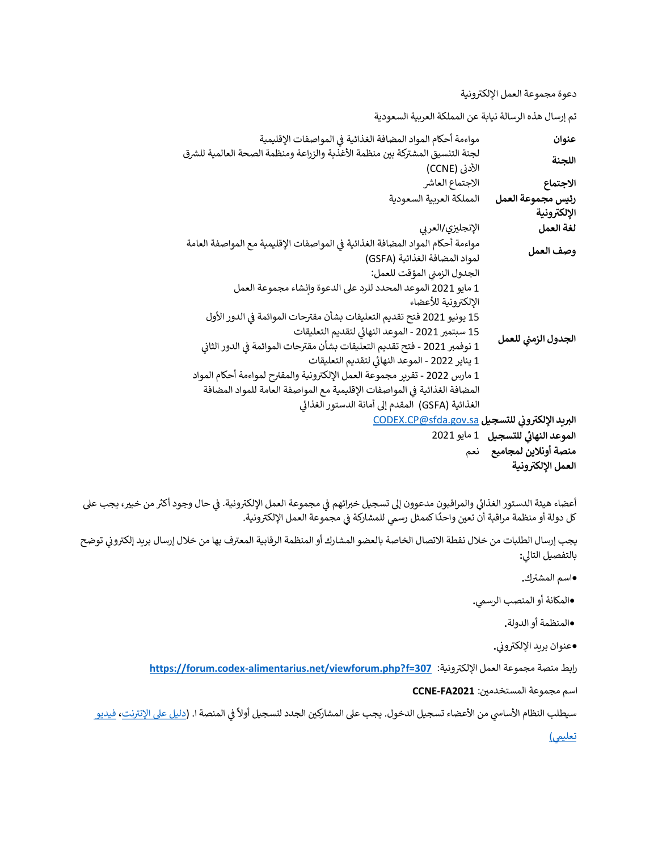دعوة مجموعة العمل الإلكترونية

تم إرسال هذه الرسالة نيابة عن المملكة العربية السعودية

| عنوان                              | مواءمة أحكام المواد المضافة الغذائية في المواصفات الإقليمية                    |
|------------------------------------|--------------------------------------------------------------------------------|
| اللجنة                             | لجنة التنسيق المشتركة بين منظمة الأغذية والزراعة ومنظمة الصحة العالمية للشرق   |
|                                    | الأدنى (CCNE)                                                                  |
| الاجتماع                           | الاجتماع العاشر                                                                |
| رئيس مجموعة العمل                  | المملكة العربية السعودية                                                       |
| الإلكترونية                        |                                                                                |
| لغة العمل                          | الإنجليزي/العربي                                                               |
| وصف العمل                          | مواءمة أحكام المواد المضافة الغذائية في المواصفات الإقليمية مع المواصفة العامة |
|                                    | لمواد المضافة الغذائية (GSFA)                                                  |
| الجدول الزمني للعمل                | الجدول الزمني المؤقت للعمل:                                                    |
|                                    | 1 مايو 2021 الموعد المحدد للرد على الدعوة وإنشاء مجموعة العمل                  |
|                                    | الإلكترونية للأعضاء                                                            |
|                                    | 15 يونيو 2021 فتح تقديم التعليقات بشأن مقترحات الموائمة في الدور الأول         |
|                                    | 15 سبتمبر 2021 - الموعد النهائي لتقديم التعليقات                               |
|                                    | 1 نوفمبر 2021 - فتح تقديم التعليقات بشأن مقترحات الموائمة فى الدور الثاني      |
|                                    | 1 يناير 2022 - الموعد النهائي لتقديم التعليقات                                 |
|                                    | 1 مارس 2022 - تقرير مجموعة العمل الإلكترونية والمقترح لمواءمة أحكام المواد     |
|                                    | المضافة الغذائية في المواصفات الإقليمية مع المواصفة العامة للمواد المضافة      |
|                                    | الغذائية (GSFA)  المقدم إلى أمانة الدستور الغذائي                              |
|                                    | البريد الإلكتروني للتسجيل CODEX.CP@sfda.gov.sa                                 |
|                                    |                                                                                |
| الموعد النهائي للتسجيل 1 مايو 2021 |                                                                                |
| منصة أونلاين لمجاميع لنعم          |                                                                                |

العمل الإلكترونية

أعضاء هيئة الدستور الغذائي والمراقبون مدعوون إلى تسجيل خبرائهم في مجموعة العمل الإلكترونية. في حال وجود أكثر من خبير، يجب على ᡨر 1978 .<br>كل دولة أو منظمة مراقبة أن تعين واحدًا كممثل رسمي للمشاركة في مجموعة العمل الإلكترونية.

يجب إرسال الطلبات من خلال نقطة الاتصال الخاصة بالعضو المشارك أو المنظمة الرقابية المعترف بها من خلال إرسال بريد إلكتروني توضح بالتفصيل التالي:

.<br>●اسم المشترك.

•المكانة أو المنصب الرسمي.

•المنظمة أو الدولة.

وعنوان بريد الإلكتروني.<br>-

رابط منصة مجموعة العمل الإلكترونية: https://forum.codex-alimentarius.net/viewforum.php?f=307

اسم مجموعة المستخدمين: CCNE-FA2021

سيطلب النظام الأساسي من الأعضاء تسجيل الدخول. يجب على المشاركين الجدد لتسجيل أولاً في المنصة ا. (<u>دليل على الإنترنت</u>، فيديو

<u>تعليمي)</u>